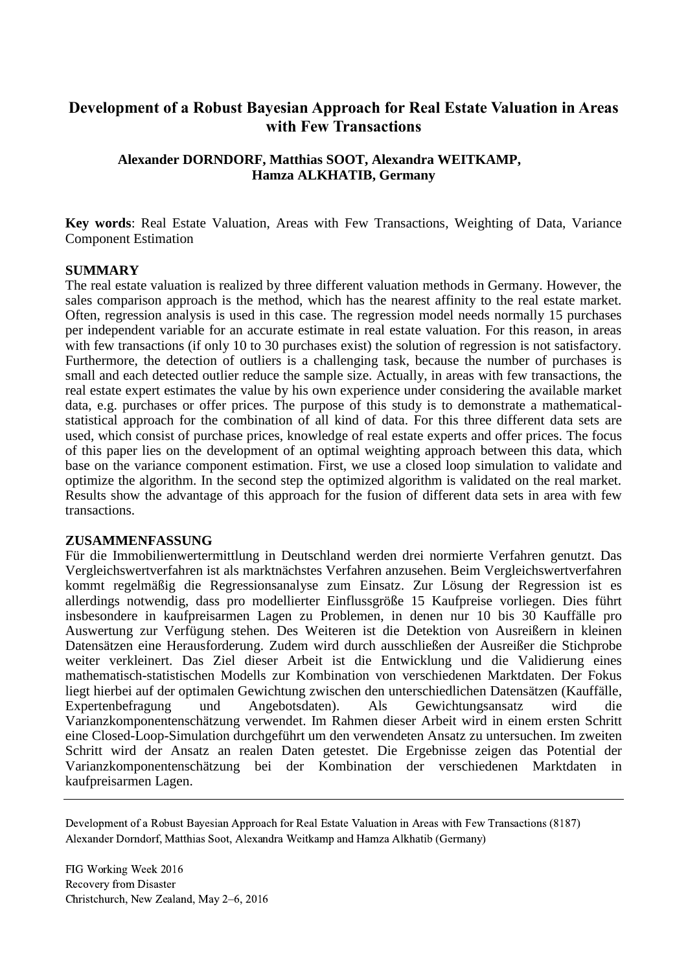# **Development of a Robust Bayesian Approach for Real Estate Valuation in Areas with Few Transactions**

## **Alexander DORNDORF, Matthias SOOT, Alexandra WEITKAMP, Hamza ALKHATIB, Germany**

**Key words**: Real Estate Valuation, Areas with Few Transactions, Weighting of Data, Variance Component Estimation

### **SUMMARY**

The real estate valuation is realized by three different valuation methods in Germany. However, the sales comparison approach is the method, which has the nearest affinity to the real estate market. Often, regression analysis is used in this case. The regression model needs normally 15 purchases per independent variable for an accurate estimate in real estate valuation. For this reason, in areas with few transactions (if only 10 to 30 purchases exist) the solution of regression is not satisfactory. Furthermore, the detection of outliers is a challenging task, because the number of purchases is small and each detected outlier reduce the sample size. Actually, in areas with few transactions, the real estate expert estimates the value by his own experience under considering the available market data, e.g. purchases or offer prices. The purpose of this study is to demonstrate a mathematicalstatistical approach for the combination of all kind of data. For this three different data sets are used, which consist of purchase prices, knowledge of real estate experts and offer prices. The focus of this paper lies on the development of an optimal weighting approach between this data, which base on the variance component estimation. First, we use a closed loop simulation to validate and optimize the algorithm. In the second step the optimized algorithm is validated on the real market. Results show the advantage of this approach for the fusion of different data sets in area with few transactions.

### **ZUSAMMENFASSUNG**

Für die Immobilienwertermittlung in Deutschland werden drei normierte Verfahren genutzt. Das Vergleichswertverfahren ist als marktnächstes Verfahren anzusehen. Beim Vergleichswertverfahren kommt regelmäßig die Regressionsanalyse zum Einsatz. Zur Lösung der Regression ist es allerdings notwendig, dass pro modellierter Einflussgröße 15 Kaufpreise vorliegen. Dies führt insbesondere in kaufpreisarmen Lagen zu Problemen, in denen nur 10 bis 30 Kauffälle pro Auswertung zur Verfügung stehen. Des Weiteren ist die Detektion von Ausreißern in kleinen Datensätzen eine Herausforderung. Zudem wird durch ausschließen der Ausreißer die Stichprobe weiter verkleinert. Das Ziel dieser Arbeit ist die Entwicklung und die Validierung eines mathematisch-statistischen Modells zur Kombination von verschiedenen Marktdaten. Der Fokus liegt hierbei auf der optimalen Gewichtung zwischen den unterschiedlichen Datensätzen (Kauffälle, Expertenbefragung und Angebotsdaten). Als Gewichtungsansatz wird die Varianzkomponentenschätzung verwendet. Im Rahmen dieser Arbeit wird in einem ersten Schritt eine Closed-Loop-Simulation durchgeführt um den verwendeten Ansatz zu untersuchen. Im zweiten Schritt wird der Ansatz an realen Daten getestet. Die Ergebnisse zeigen das Potential der Varianzkomponentenschätzung bei der Kombination der verschiedenen Marktdaten in kaufpreisarmen Lagen.

Development of a Robust Bayesian Approach for Real Estate Valuation in Areas with Few Transactions (8187) Alexander Dorndorf, Matthias Soot, Alexandra Weitkamp and Hamza Alkhatib (Germany)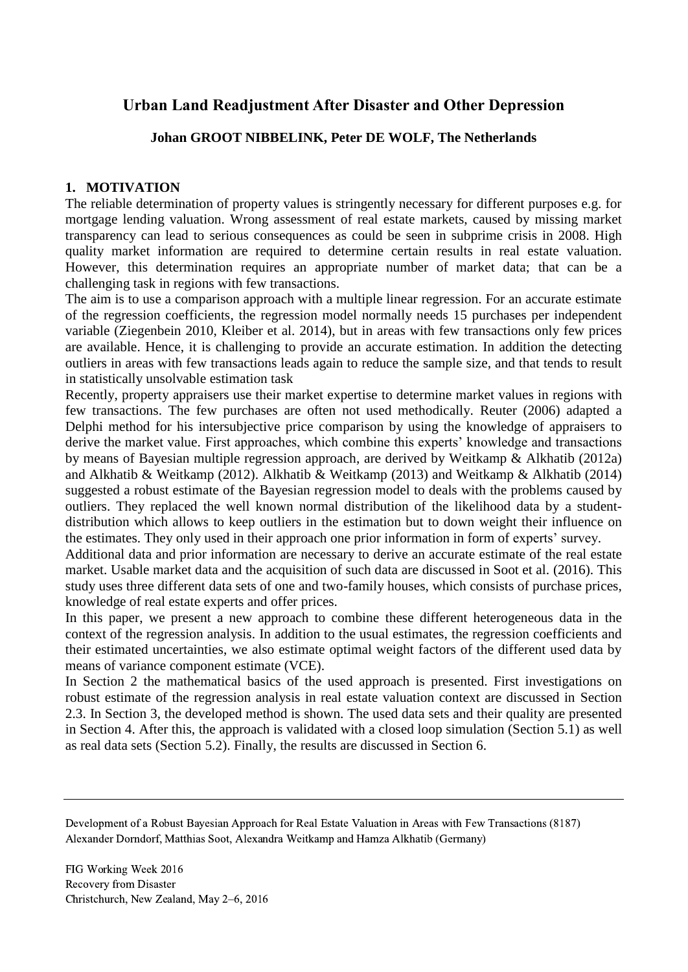# **Urban Land Readjustment After Disaster and Other Depression**

# **Johan GROOT NIBBELINK, Peter DE WOLF, The Netherlands**

# **1. MOTIVATION**

The reliable determination of property values is stringently necessary for different purposes e.g. for mortgage lending valuation. Wrong assessment of real estate markets, caused by missing market transparency can lead to serious consequences as could be seen in subprime crisis in 2008. High quality market information are required to determine certain results in real estate valuation. However, this determination requires an appropriate number of market data; that can be a challenging task in regions with few transactions.

The aim is to use a comparison approach with a multiple linear regression. For an accurate estimate of the regression coefficients, the regression model normally needs 15 purchases per independent variable (Ziegenbein 2010, Kleiber et al. 2014), but in areas with few transactions only few prices are available. Hence, it is challenging to provide an accurate estimation. In addition the detecting outliers in areas with few transactions leads again to reduce the sample size, and that tends to result in statistically unsolvable estimation task

Recently, property appraisers use their market expertise to determine market values in regions with few transactions. The few purchases are often not used methodically. Reuter (2006) adapted a Delphi method for his intersubjective price comparison by using the knowledge of appraisers to derive the market value. First approaches, which combine this experts' knowledge and transactions by means of Bayesian multiple regression approach, are derived by Weitkamp & Alkhatib (2012a) and Alkhatib & Weitkamp (2012). Alkhatib & Weitkamp (2013) and Weitkamp & Alkhatib (2014) suggested a robust estimate of the Bayesian regression model to deals with the problems caused by outliers. They replaced the well known normal distribution of the likelihood data by a studentdistribution which allows to keep outliers in the estimation but to down weight their influence on the estimates. They only used in their approach one prior information in form of experts' survey.

Additional data and prior information are necessary to derive an accurate estimate of the real estate market. Usable market data and the acquisition of such data are discussed in Soot et al. (2016). This study uses three different data sets of one and two-family houses, which consists of purchase prices, knowledge of real estate experts and offer prices.

In this paper, we present a new approach to combine these different heterogeneous data in the context of the regression analysis. In addition to the usual estimates, the regression coefficients and their estimated uncertainties, we also estimate optimal weight factors of the different used data by means of variance component estimate (VCE).

In Section [2](#page-2-0) the mathematical basics of the used approach is presented. First investigations on robust estimate of the regression analysis in real estate valuation context are discussed in Section [2.3.](#page-3-0) In Section [3,](#page-4-0) the developed method is shown. The used data sets and their quality are presented in Section [4.](#page-6-0) After this, the approach is validated with a closed loop simulation (Section [5.1\)](#page-8-0) as well as real data sets (Section [5.2\)](#page-10-0). Finally, the results are discussed in Section [6.](#page-11-0)

Development of a Robust Bayesian Approach for Real Estate Valuation in Areas with Few Transactions (8187) Alexander Dorndorf, Matthias Soot, Alexandra Weitkamp and Hamza Alkhatib (Germany)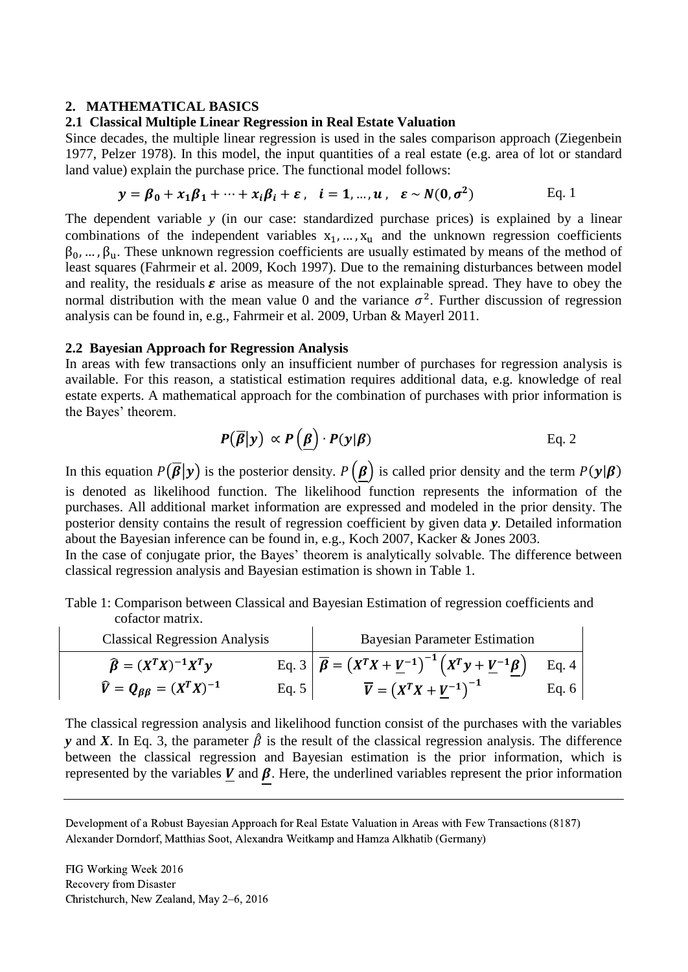### <span id="page-2-0"></span>**2. MATHEMATICAL BASICS**

### **2.1 Classical Multiple Linear Regression in Real Estate Valuation**

Since decades, the multiple linear regression is used in the sales comparison approach (Ziegenbein 1977, Pelzer 1978). In this model, the input quantities of a real estate (e.g. area of lot or standard land value) explain the purchase price. The functional model follows:

$$
\mathbf{y} = \boldsymbol{\beta}_0 + x_1 \boldsymbol{\beta}_1 + \dots + x_i \boldsymbol{\beta}_i + \boldsymbol{\varepsilon} \,, \quad \boldsymbol{i} = 1, \dots, \boldsymbol{u} \,, \quad \boldsymbol{\varepsilon} \sim N(\mathbf{0}, \sigma^2) \tag{Eq. 1}
$$

The dependent variable *y* (in our case: standardized purchase prices) is explained by a linear combinations of the independent variables  $x_1, ..., x_u$  and the unknown regression coefficients  $\beta_0, \ldots, \beta_n$ . These unknown regression coefficients are usually estimated by means of the method of least squares (Fahrmeir et al. 2009, Koch 1997). Due to the remaining disturbances between model and reality, the residuals  $\varepsilon$  arise as measure of the not explainable spread. They have to obey the normal distribution with the mean value 0 and the variance  $\sigma^2$ . Further discussion of regression analysis can be found in, e.g., Fahrmeir et al. 2009, Urban & Mayerl 2011.

### **2.2 Bayesian Approach for Regression Analysis**

In areas with few transactions only an insufficient number of purchases for regression analysis is available. For this reason, a statistical estimation requires additional data, e.g. knowledge of real estate experts. A mathematical approach for the combination of purchases with prior information is the Bayes' theorem.

$$
P(\overline{\beta}|y) \propto P(\underline{\beta}) \cdot P(y|\beta) \qquad \qquad \text{Eq. 2}
$$

In this equation  $P(\overline{\beta}|y)$  is the posterior density.  $P(\beta)$  is called prior density and the term  $P(y|\beta)$ is denoted as likelihood function. The likelihood function represents the information of the purchases. All additional market information are expressed and modeled in the prior density. The posterior density contains the result of regression coefficient by given data *y*. Detailed information about the Bayesian inference can be found in, e.g., Koch 2007, Kacker & Jones 2003.

In the case of conjugate prior, the Bayes' theorem is analytically solvable. The difference between classical regression analysis and Bayesian estimation is shown in [Table 1.](#page-2-1)

<span id="page-2-1"></span>Table 1: Comparison between Classical and Bayesian Estimation of regression coefficients and cofactor matrix.

<span id="page-2-2"></span>

| <b>Classical Regression Analysis</b>   |              | <b>Bayesian Parameter Estimation</b>                                                            |       |
|----------------------------------------|--------------|-------------------------------------------------------------------------------------------------|-------|
| $\widehat{\beta} = (X^T X)^{-1} X^T y$ |              | Eq. 3 $\overline{\beta} = (X^T X + \underline{V}^{-1})^{-1} (X^T y + \underline{V}^{-1} \beta)$ | Eq. 4 |
| $\hat{V} = Q_{BB} = (X^T X)^{-1}$      | Eq. $5 \mid$ | $\overline{V} = (X^T X + V^{-1})^{-1}$                                                          | Eq. 6 |

The classical regression analysis and likelihood function consist of the purchases with the variables *y* and *X*. In [Eq. 3,](#page-2-2) the parameter  $\hat{\beta}$  is the result of the classical regression analysis. The difference between the classical regression and Bayesian estimation is the prior information, which is represented by the variables  $\underline{V}$  and  $\beta$ . Here, the underlined variables represent the prior information

Development of a Robust Bayesian Approach for Real Estate Valuation in Areas with Few Transactions (8187) Alexander Dorndorf, Matthias Soot, Alexandra Weitkamp and Hamza Alkhatib (Germany)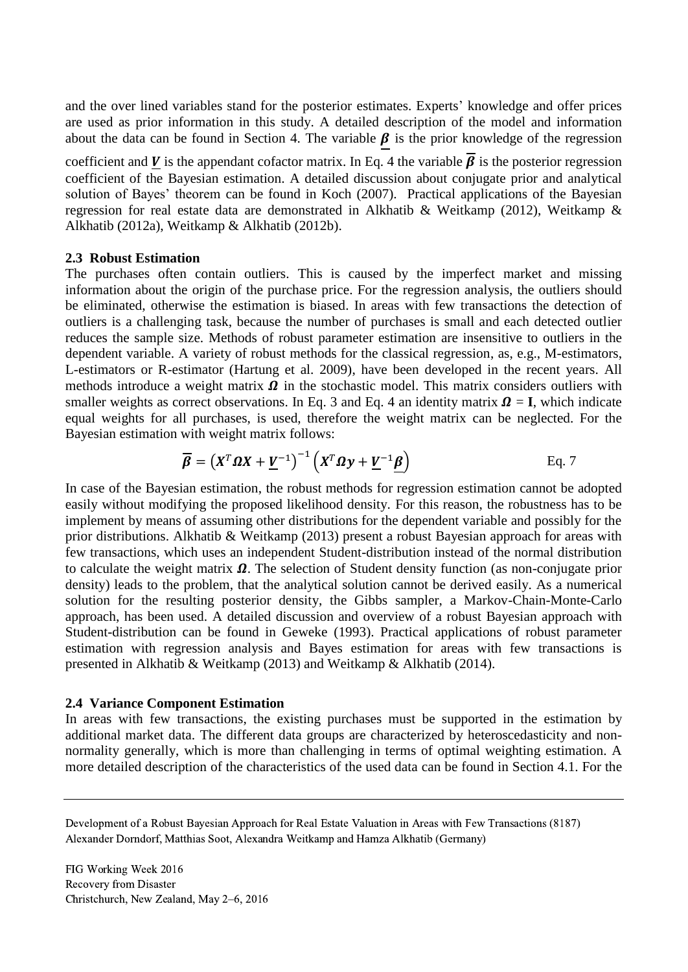and the over lined variables stand for the posterior estimates. Experts' knowledge and offer prices are used as prior information in this study. A detailed description of the model and information about the data can be found in Section 4. The variable  $\beta$  is the prior knowledge of the regression

coefficient and V is the appendant cofactor matrix. In Eq. 4 the variable  $\vec{\beta}$  is the posterior regression coefficient of the Bayesian estimation. A detailed discussion about conjugate prior and analytical solution of Bayes' theorem can be found in Koch (2007). Practical applications of the Bayesian regression for real estate data are demonstrated in Alkhatib & Weitkamp (2012), Weitkamp & Alkhatib (2012a), Weitkamp & Alkhatib (2012b).

### <span id="page-3-0"></span>**2.3 Robust Estimation**

The purchases often contain outliers. This is caused by the imperfect market and missing information about the origin of the purchase price. For the regression analysis, the outliers should be eliminated, otherwise the estimation is biased. In areas with few transactions the detection of outliers is a challenging task, because the number of purchases is small and each detected outlier reduces the sample size. Methods of robust parameter estimation are insensitive to outliers in the dependent variable. A variety of robust methods for the classical regression, as, e.g., M-estimators, L-estimators or R-estimator (Hartung et al. 2009), have been developed in the recent years. All methods introduce a weight matrix  $\Omega$  in the stochastic model. This matrix considers outliers with smaller weights as correct observations. In Eq. 3 and Eq. 4 an identity matrix  $\Omega = I$ , which indicate equal weights for all purchases, is used, therefore the weight matrix can be neglected. For the Bayesian estimation with weight matrix follows:

$$
\overline{\beta} = (X^T \Omega X + \underline{V}^{-1})^{-1} (X^T \Omega y + \underline{V}^{-1} \underline{\beta})
$$
 Eq. 7

In case of the Bayesian estimation, the robust methods for regression estimation cannot be adopted easily without modifying the proposed likelihood density. For this reason, the robustness has to be implement by means of assuming other distributions for the dependent variable and possibly for the prior distributions. Alkhatib & Weitkamp (2013) present a robust Bayesian approach for areas with few transactions, which uses an independent Student-distribution instead of the normal distribution to calculate the weight matrix  $\Omega$ . The selection of Student density function (as non-conjugate prior density) leads to the problem, that the analytical solution cannot be derived easily. As a numerical solution for the resulting posterior density, the Gibbs sampler, a Markov-Chain-Monte-Carlo approach, has been used. A detailed discussion and overview of a robust Bayesian approach with Student-distribution can be found in Geweke (1993). Practical applications of robust parameter estimation with regression analysis and Bayes estimation for areas with few transactions is presented in Alkhatib & Weitkamp (2013) and Weitkamp & Alkhatib (2014).

#### **2.4 Variance Component Estimation**

In areas with few transactions, the existing purchases must be supported in the estimation by additional market data. The different data groups are characterized by heteroscedasticity and nonnormality generally, which is more than challenging in terms of optimal weighting estimation. A more detailed description of the characteristics of the used data can be found in Section [4.1.](#page-8-1) For the

Development of a Robust Bayesian Approach for Real Estate Valuation in Areas with Few Transactions (8187) Alexander Dorndorf, Matthias Soot, Alexandra Weitkamp and Hamza Alkhatib (Germany)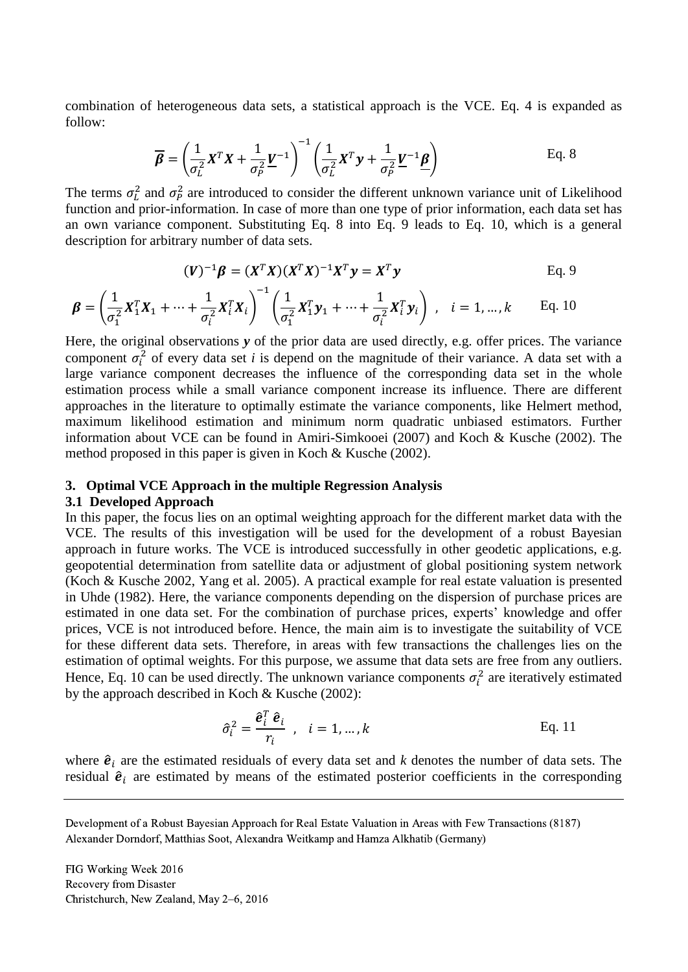combination of heterogeneous data sets, a statistical approach is the VCE. Eq. 4 is expanded as follow:

$$
\overline{\boldsymbol{\beta}} = \left(\frac{1}{\sigma_L^2} \boldsymbol{X}^T \boldsymbol{X} + \frac{1}{\sigma_P^2} \underline{\boldsymbol{V}}^{-1}\right)^{-1} \left(\frac{1}{\sigma_L^2} \boldsymbol{X}^T \boldsymbol{y} + \frac{1}{\sigma_P^2} \underline{\boldsymbol{V}}^{-1} \underline{\boldsymbol{\beta}}\right)
$$
 Eq. 8

The terms  $\sigma_L^2$  and  $\sigma_P^2$  are introduced to consider the different unknown variance unit of Likelihood function and prior-information. In case of more than one type of prior information, each data set has an own variance component. Substituting Eq. 8 into Eq. 9 leads to Eq. 10, which is a general description for arbitrary number of data sets.

<span id="page-4-1"></span>
$$
(\boldsymbol{V})^{-1}\boldsymbol{\beta} = (\boldsymbol{X}^T\boldsymbol{X})(\boldsymbol{X}^T\boldsymbol{X})^{-1}\boldsymbol{X}^T\boldsymbol{y} = \boldsymbol{X}^T\boldsymbol{y}
$$
 Eq. 9

$$
\boldsymbol{\beta} = \left(\frac{1}{\sigma_1^2} \mathbf{X}_1^T \mathbf{X}_1 + \dots + \frac{1}{\sigma_i^2} \mathbf{X}_i^T \mathbf{X}_i\right)^{-1} \left(\frac{1}{\sigma_1^2} \mathbf{X}_1^T \mathbf{y}_1 + \dots + \frac{1}{\sigma_i^2} \mathbf{X}_i^T \mathbf{y}_i\right), \quad i = 1, \dots, k \quad \text{Eq. 10}
$$

Here, the original observations *y* of the prior data are used directly, e.g. offer prices. The variance component  $\sigma_i^2$  of every data set *i* is depend on the magnitude of their variance. A data set with a large variance component decreases the influence of the corresponding data set in the whole estimation process while a small variance component increase its influence. There are different approaches in the literature to optimally estimate the variance components, like Helmert method, maximum likelihood estimation and minimum norm quadratic unbiased estimators. Further information about VCE can be found in Amiri-Simkooei (2007) and Koch & Kusche (2002). The method proposed in this paper is given in Koch & Kusche (2002).

### <span id="page-4-0"></span>**3. Optimal VCE Approach in the multiple Regression Analysis**

#### **3.1 Developed Approach**

In this paper, the focus lies on an optimal weighting approach for the different market data with the VCE. The results of this investigation will be used for the development of a robust Bayesian approach in future works. The VCE is introduced successfully in other geodetic applications, e.g. geopotential determination from satellite data or adjustment of global positioning system network (Koch & Kusche 2002, Yang et al. 2005). A practical example for real estate valuation is presented in Uhde (1982). Here, the variance components depending on the dispersion of purchase prices are estimated in one data set. For the combination of purchase prices, experts' knowledge and offer prices, VCE is not introduced before. Hence, the main aim is to investigate the suitability of VCE for these different data sets. Therefore, in areas with few transactions the challenges lies on the estimation of optimal weights. For this purpose, we assume that data sets are free from any outliers. Hence, [Eq. 10](#page-4-1) can be used directly. The unknown variance components  $\sigma_i^2$  are iteratively estimated by the approach described in Koch & Kusche (2002):

$$
\hat{\sigma}_i^2 = \frac{\hat{\boldsymbol{e}}_i^T \hat{\boldsymbol{e}}_i}{r_i}, \quad i = 1, \dots, k
$$
 Eq. 11

where  $\hat{e}_i$  are the estimated residuals of every data set and *k* denotes the number of data sets. The residual  $\hat{\mathbf{e}}_i$  are estimated by means of the estimated posterior coefficients in the corresponding

Development of a Robust Bayesian Approach for Real Estate Valuation in Areas with Few Transactions (8187) Alexander Dorndorf, Matthias Soot, Alexandra Weitkamp and Hamza Alkhatib (Germany)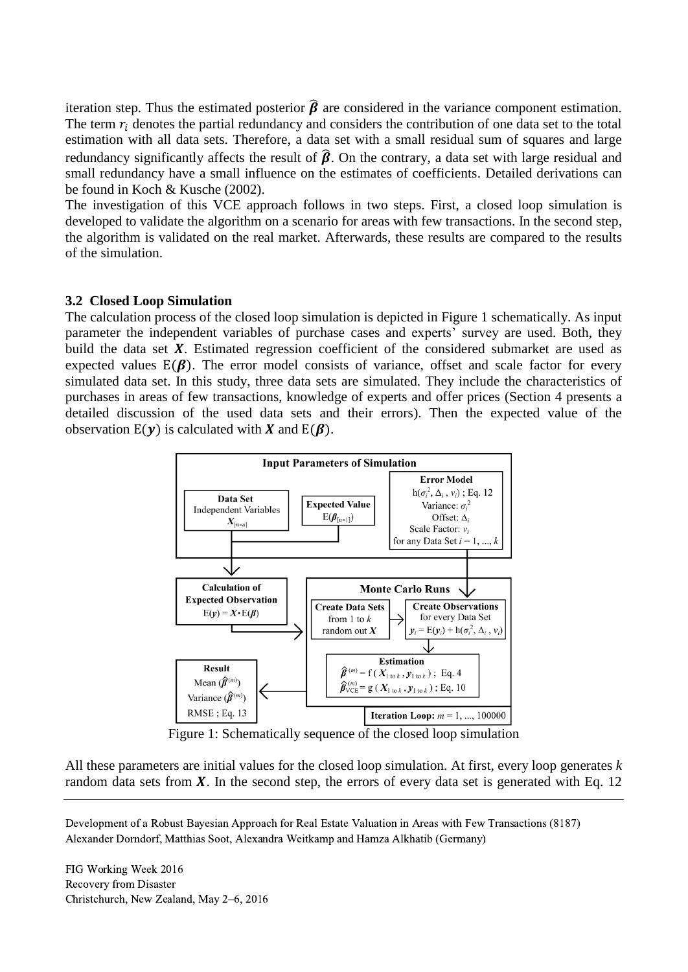iteration step. Thus the estimated posterior  $\hat{\beta}$  are considered in the variance component estimation. The term  $r_i$  denotes the partial redundancy and considers the contribution of one data set to the total estimation with all data sets. Therefore, a data set with a small residual sum of squares and large redundancy significantly affects the result of  $\hat{\beta}$ . On the contrary, a data set with large residual and small redundancy have a small influence on the estimates of coefficients. Detailed derivations can be found in Koch & Kusche (2002).

The investigation of this VCE approach follows in two steps. First, a closed loop simulation is developed to validate the algorithm on a scenario for areas with few transactions. In the second step, the algorithm is validated on the real market. Afterwards, these results are compared to the results of the simulation.

## **3.2 Closed Loop Simulation**

The calculation process of the closed loop simulation is depicted in Figure 1 schematically. As input parameter the independent variables of purchase cases and experts' survey are used. Both, they build the data set  $X$ . Estimated regression coefficient of the considered submarket are used as expected values  $E(\beta)$ . The error model consists of variance, offset and scale factor for every simulated data set. In this study, three data sets are simulated. They include the characteristics of purchases in areas of few transactions, knowledge of experts and offer prices (Section 4 presents a detailed discussion of the used data sets and their errors). Then the expected value of the observation  $E(y)$  is calculated with X and  $E(\beta)$ .



Figure 1: Schematically sequence of the closed loop simulation

All these parameters are initial values for the closed loop simulation. At first, every loop generates *k* random data sets from  $X$ . In the second step, the errors of every data set is generated with Eq. 12

Development of a Robust Bayesian Approach for Real Estate Valuation in Areas with Few Transactions (8187) Alexander Dorndorf, Matthias Soot, Alexandra Weitkamp and Hamza Alkhatib (Germany)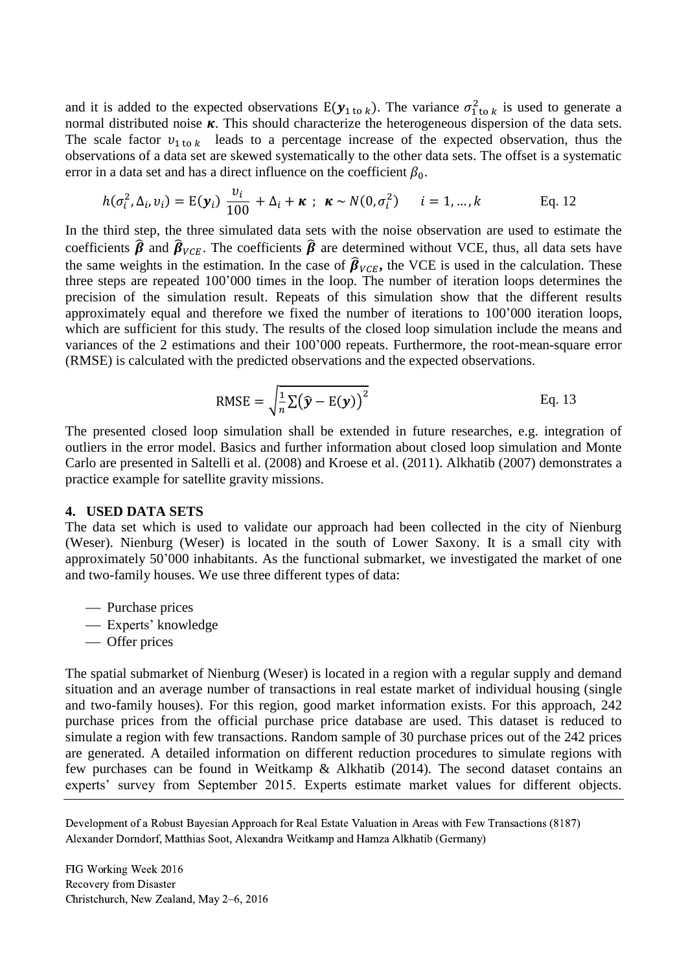and it is added to the expected observations  $E(y_{1\text{ to }k})$ . The variance  $\sigma_{1\text{ to }k}^2$  is used to generate a normal distributed noise  $\kappa$ . This should characterize the heterogeneous dispersion of the data sets. The scale factor  $v_{1 \text{ to } k}$  leads to a percentage increase of the expected observation, thus the observations of a data set are skewed systematically to the other data sets. The offset is a systematic error in a data set and has a direct influence on the coefficient  $\beta_0$ .

$$
h(\sigma_i^2, \Delta_i, v_i) = \mathbb{E}(\mathbf{y}_i) \frac{v_i}{100} + \Delta_i + \kappa \; ; \; \kappa \sim N(0, \sigma_i^2) \quad i = 1, ..., k \quad \text{Eq. 12}
$$

In the third step, the three simulated data sets with the noise observation are used to estimate the coefficients  $\hat{\beta}$  and  $\hat{\beta}_{VCE}$ . The coefficients  $\hat{\beta}$  are determined without VCE, thus, all data sets have the same weights in the estimation. In the case of  $\hat{\beta}_{VCE}$ , the VCE is used in the calculation. These three steps are repeated 100'000 times in the loop. The number of iteration loops determines the precision of the simulation result. Repeats of this simulation show that the different results approximately equal and therefore we fixed the number of iterations to 100'000 iteration loops, which are sufficient for this study. The results of the closed loop simulation include the means and variances of the 2 estimations and their 100'000 repeats. Furthermore, the root-mean-square error (RMSE) is calculated with the predicted observations and the expected observations.

RMSE = 
$$
\sqrt{\frac{1}{n} \Sigma (\hat{\mathbf{y}} - \mathbf{E}(\mathbf{y}))^2}
$$
 Eq. 13

The presented closed loop simulation shall be extended in future researches, e.g. integration of outliers in the error model. Basics and further information about closed loop simulation and Monte Carlo are presented in Saltelli et al. (2008) and Kroese et al. (2011). Alkhatib (2007) demonstrates a practice example for satellite gravity missions.

### <span id="page-6-0"></span>**4. USED DATA SETS**

The data set which is used to validate our approach had been collected in the city of Nienburg (Weser). Nienburg (Weser) is located in the south of Lower Saxony. It is a small city with approximately 50'000 inhabitants. As the functional submarket, we investigated the market of one and two-family houses. We use three different types of data:

- Purchase prices
- Experts' knowledge
- Offer prices

The spatial submarket of Nienburg (Weser) is located in a region with a regular supply and demand situation and an average number of transactions in real estate market of individual housing (single and two-family houses). For this region, good market information exists. For this approach, 242 purchase prices from the official purchase price database are used. This dataset is reduced to simulate a region with few transactions. Random sample of 30 purchase prices out of the 242 prices are generated. A detailed information on different reduction procedures to simulate regions with few purchases can be found in Weitkamp & Alkhatib (2014). The second dataset contains an experts' survey from September 2015. Experts estimate market values for different objects.

Development of a Robust Bayesian Approach for Real Estate Valuation in Areas with Few Transactions (8187) Alexander Dorndorf, Matthias Soot, Alexandra Weitkamp and Hamza Alkhatib (Germany)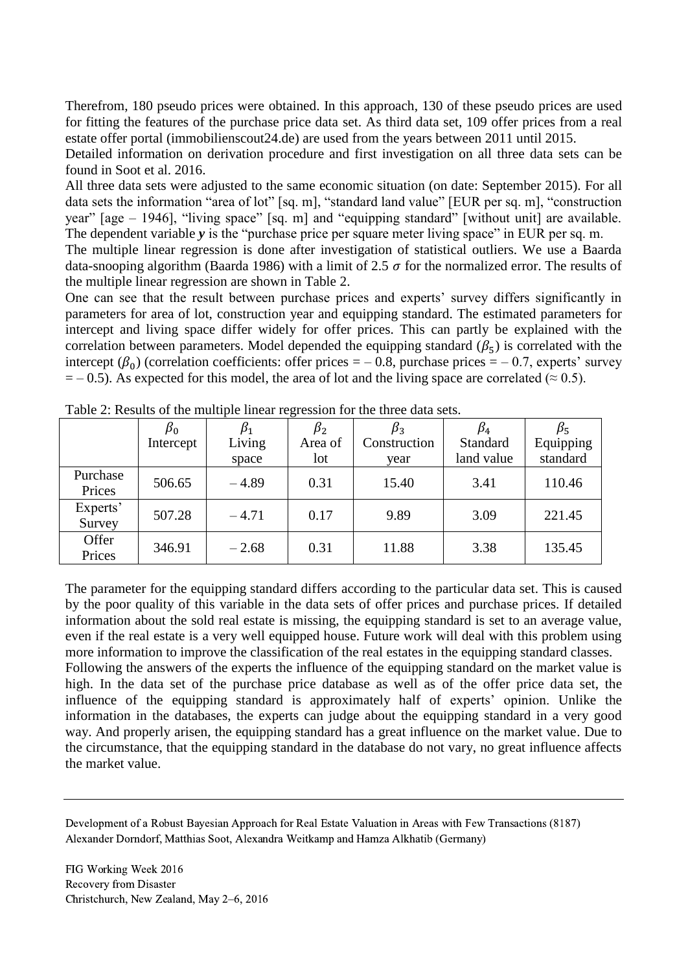Therefrom, 180 pseudo prices were obtained. In this approach, 130 of these pseudo prices are used for fitting the features of the purchase price data set. As third data set, 109 offer prices from a real estate offer portal (immobilienscout24.de) are used from the years between 2011 until 2015.

Detailed information on derivation procedure and first investigation on all three data sets can be found in Soot et al. 2016.

All three data sets were adjusted to the same economic situation (on date: September 2015). For all data sets the information "area of lot" [sq. m], "standard land value" [EUR per sq. m], "construction year" [age – 1946], "living space" [sq. m] and "equipping standard" [without unit] are available. The dependent variable *y* is the "purchase price per square meter living space" in EUR per sq. m.

The multiple linear regression is done after investigation of statistical outliers. We use a Baarda data-snooping algorithm (Baarda 1986) with a limit of 2.5  $\sigma$  for the normalized error. The results of the multiple linear regression are shown in Table 2.

One can see that the result between purchase prices and experts' survey differs significantly in parameters for area of lot, construction year and equipping standard. The estimated parameters for intercept and living space differ widely for offer prices. This can partly be explained with the correlation between parameters. Model depended the equipping standard  $(\beta_5)$  is correlated with the intercept  $(\beta_0)$  (correlation coefficients: offer prices = – 0.8, purchase prices = – 0.7, experts' survey  $=$  – 0.5). As expected for this model, the area of lot and the living space are correlated ( $\approx$  0.5).

|                    | $\beta_0$ |         | $\beta_2$ | $\beta_3$    | $\beta_4$  | $\beta_5$ |
|--------------------|-----------|---------|-----------|--------------|------------|-----------|
|                    | Intercept | Living  | Area of   | Construction | Standard   | Equipping |
|                    |           | space   | lot       | year         | land value | standard  |
| Purchase<br>Prices | 506.65    | $-4.89$ | 0.31      | 15.40        | 3.41       | 110.46    |
| Experts'<br>Survey | 507.28    | $-4.71$ | 0.17      | 9.89         | 3.09       | 221.45    |
| Offer<br>Prices    | 346.91    | $-2.68$ | 0.31      | 11.88        | 3.38       | 135.45    |

Table 2: Results of the multiple linear regression for the three data sets.

The parameter for the equipping standard differs according to the particular data set. This is caused by the poor quality of this variable in the data sets of offer prices and purchase prices. If detailed information about the sold real estate is missing, the equipping standard is set to an average value, even if the real estate is a very well equipped house. Future work will deal with this problem using more information to improve the classification of the real estates in the equipping standard classes. Following the answers of the experts the influence of the equipping standard on the market value is

high. In the data set of the purchase price database as well as of the offer price data set, the influence of the equipping standard is approximately half of experts' opinion. Unlike the information in the databases, the experts can judge about the equipping standard in a very good way. And properly arisen, the equipping standard has a great influence on the market value. Due to the circumstance, that the equipping standard in the database do not vary, no great influence affects the market value.

Development of a Robust Bayesian Approach for Real Estate Valuation in Areas with Few Transactions (8187) Alexander Dorndorf, Matthias Soot, Alexandra Weitkamp and Hamza Alkhatib (Germany)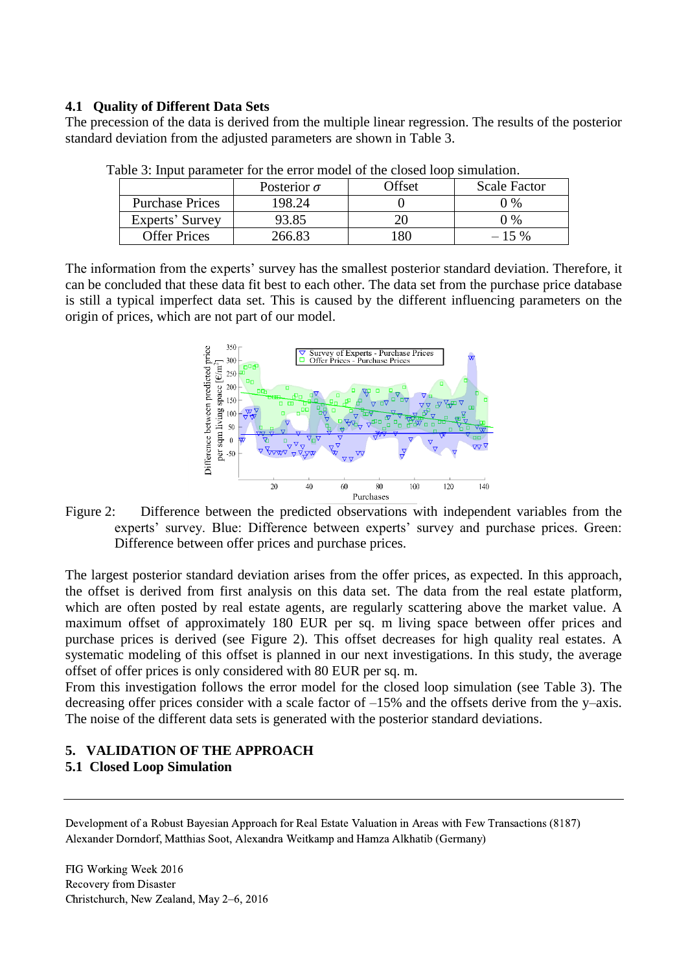## <span id="page-8-1"></span>**4.1 Quality of Different Data Sets**

The precession of the data is derived from the multiple linear regression. The results of the posterior standard deviation from the adjusted parameters are shown in [Table 3.](#page-8-2)

|                        | Posterior $\sigma$ | )ffset | <b>Scale Factor</b> |
|------------------------|--------------------|--------|---------------------|
| <b>Purchase Prices</b> | 198.24             |        | በ %                 |
| Experts' Survey        | 93.85              |        | ገ %                 |
| <b>Offer Prices</b>    | PGG 83             |        | $\frac{0}{6}$       |

<span id="page-8-2"></span>Table 3: Input parameter for the error model of the closed loop simulation.

The information from the experts' survey has the smallest posterior standard deviation. Therefore, it can be concluded that these data fit best to each other. The data set from the purchase price database is still a typical imperfect data set. This is caused by the different influencing parameters on the origin of prices, which are not part of our model.



<span id="page-8-3"></span>Figure 2: Difference between the predicted observations with independent variables from the experts' survey. Blue: Difference between experts' survey and purchase prices. Green: Difference between offer prices and purchase prices.

The largest posterior standard deviation arises from the offer prices, as expected. In this approach, the offset is derived from first analysis on this data set. The data from the real estate platform, which are often posted by real estate agents, are regularly scattering above the market value. A maximum offset of approximately 180 EUR per sq. m living space between offer prices and purchase prices is derived (see [Figure](#page-8-3) 2). This offset decreases for high quality real estates. A systematic modeling of this offset is planned in our next investigations. In this study, the average offset of offer prices is only considered with 80 EUR per sq. m.

From this investigation follows the error model for the closed loop simulation (see Table 3). The decreasing offer prices consider with a scale factor of –15% and the offsets derive from the y–axis. The noise of the different data sets is generated with the posterior standard deviations.

# **5. VALIDATION OF THE APPROACH**

# <span id="page-8-0"></span>**5.1 Closed Loop Simulation**

Development of a Robust Bayesian Approach for Real Estate Valuation in Areas with Few Transactions (8187) Alexander Dorndorf, Matthias Soot, Alexandra Weitkamp and Hamza Alkhatib (Germany)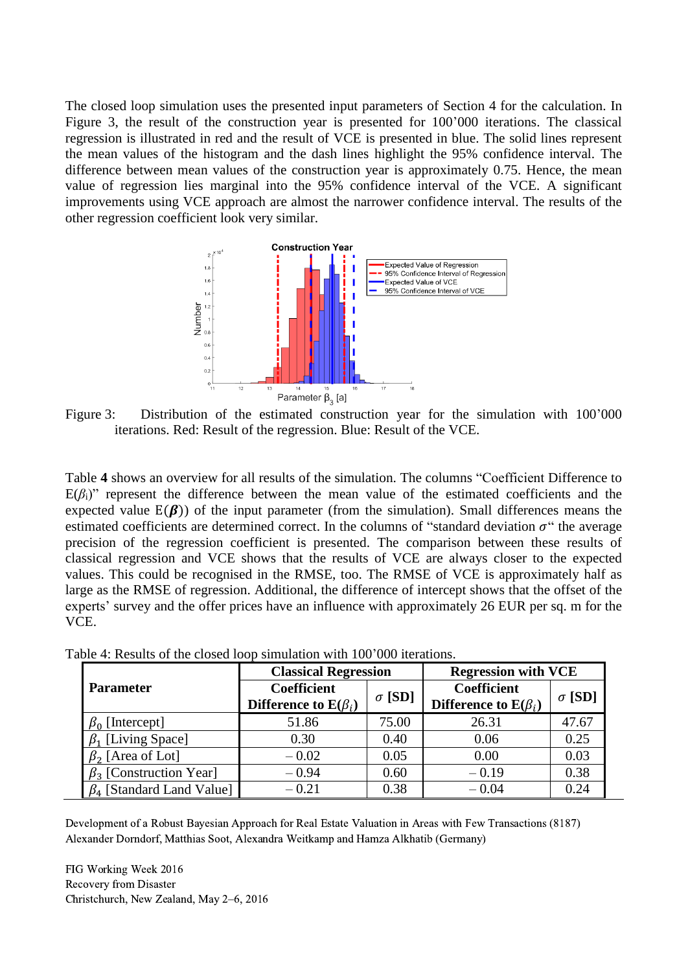The closed loop simulation uses the presented input parameters of Section 4 for the calculation. In [Figure 3,](#page-9-0) the result of the construction year is presented for 100'000 iterations. The classical regression is illustrated in red and the result of VCE is presented in blue. The solid lines represent the mean values of the histogram and the dash lines highlight the 95% confidence interval. The difference between mean values of the construction year is approximately 0.75. Hence, the mean value of regression lies marginal into the 95% confidence interval of the VCE. A significant improvements using VCE approach are almost the narrower confidence interval. The results of the other regression coefficient look very similar.



<span id="page-9-0"></span>Figure 3: Distribution of the estimated construction year for the simulation with 100'000 iterations. Red: Result of the regression. Blue: Result of the VCE.

[Table](#page-9-1) **4** shows an overview for all results of the simulation. The columns "Coefficient Difference to  $E(\beta_i)$ " represent the difference between the mean value of the estimated coefficients and the expected value  $E(\beta)$ ) of the input parameter (from the simulation). Small differences means the estimated coefficients are determined correct. In the columns of "standard deviation  $\sigma$ " the average precision of the regression coefficient is presented. The comparison between these results of classical regression and VCE shows that the results of VCE are always closer to the expected values. This could be recognised in the RMSE, too. The RMSE of VCE is approximately half as large as the RMSE of regression. Additional, the difference of intercept shows that the offset of the experts' survey and the offer prices have an influence with approximately 26 EUR per sq. m for the VCE.

|                                 | <b>Classical Regression</b>         |       | <b>Regression with VCE</b> |               |  |
|---------------------------------|-------------------------------------|-------|----------------------------|---------------|--|
| <b>Parameter</b>                | <b>Coefficient</b><br>$\sigma$ [SD] |       | <b>Coefficient</b>         | $\sigma$ [SD] |  |
|                                 | Difference to $E(\beta_i)$          |       | Difference to $E(\beta_i)$ |               |  |
| $\beta_0$ [Intercept]           | 51.86                               | 75.00 | 26.31                      | 47.67         |  |
| $\beta_1$ [Living Space]        | 0.30                                | 0.40  | 0.06                       | 0.25          |  |
| $\beta_2$ [Area of Lot]         | $-0.02$                             | 0.05  | 0.00                       | 0.03          |  |
| $\beta_3$ [Construction Year]   | $-0.94$                             | 0.60  | $-0.19$                    | 0.38          |  |
| $\beta_4$ [Standard Land Value] | $-0.21$                             | 0.38  | $-0.04$                    | 0.24          |  |

<span id="page-9-1"></span>Table 4: Results of the closed loop simulation with 100'000 iterations.

Development of a Robust Bayesian Approach for Real Estate Valuation in Areas with Few Transactions (8187) Alexander Dorndorf, Matthias Soot, Alexandra Weitkamp and Hamza Alkhatib (Germany)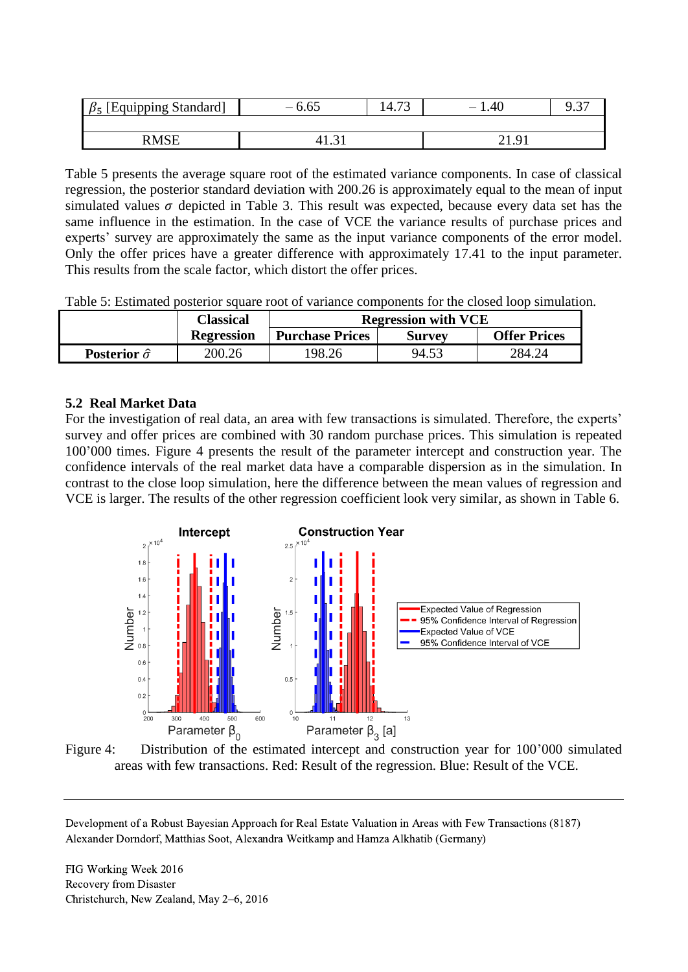| [Equipping Standard]<br>$\beta_5$ | $-6.65$ | $\sqrt{2}$<br>$14.7^{\circ}$ | .40 |  |
|-----------------------------------|---------|------------------------------|-----|--|
|                                   |         |                              |     |  |
| RMSE                              |         |                              | Q   |  |

[Table 5](#page-10-1) presents the average square root of the estimated variance components. In case of classical regression, the posterior standard deviation with 200.26 is approximately equal to the mean of input simulated values  $\sigma$  depicted in Table 3. This result was expected, because every data set has the same influence in the estimation. In the case of VCE the variance results of purchase prices and experts' survey are approximately the same as the input variance components of the error model. Only the offer prices have a greater difference with approximately 17.41 to the input parameter. This results from the scale factor, which distort the offer prices.

<span id="page-10-1"></span>Table 5: Estimated posterior square root of variance components for the closed loop simulation.

|                          | <b>Classical</b>  |                        | <b>Regression with VCE</b> |                     |
|--------------------------|-------------------|------------------------|----------------------------|---------------------|
|                          | <b>Regression</b> | <b>Purchase Prices</b> | <b>Survey</b>              | <b>Offer Prices</b> |
| Posterior $\hat{\sigma}$ | 200.26            | 198.26                 | 94.53                      | 284.24              |

## <span id="page-10-0"></span>**5.2 Real Market Data**

For the investigation of real data, an area with few transactions is simulated. Therefore, the experts' survey and offer prices are combined with 30 random purchase prices. This simulation is repeated 100'000 times. [Figure 4](#page-10-2) presents the result of the parameter intercept and construction year. The confidence intervals of the real market data have a comparable dispersion as in the simulation. In contrast to the close loop simulation, here the difference between the mean values of regression and VCE is larger. The results of the other regression coefficient look very similar, as shown in [Table 6.](#page-11-1)

![](_page_10_Figure_6.jpeg)

<span id="page-10-2"></span>![](_page_10_Figure_7.jpeg)

Development of a Robust Bayesian Approach for Real Estate Valuation in Areas with Few Transactions (8187) Alexander Dorndorf, Matthias Soot, Alexandra Weitkamp and Hamza Alkhatib (Germany)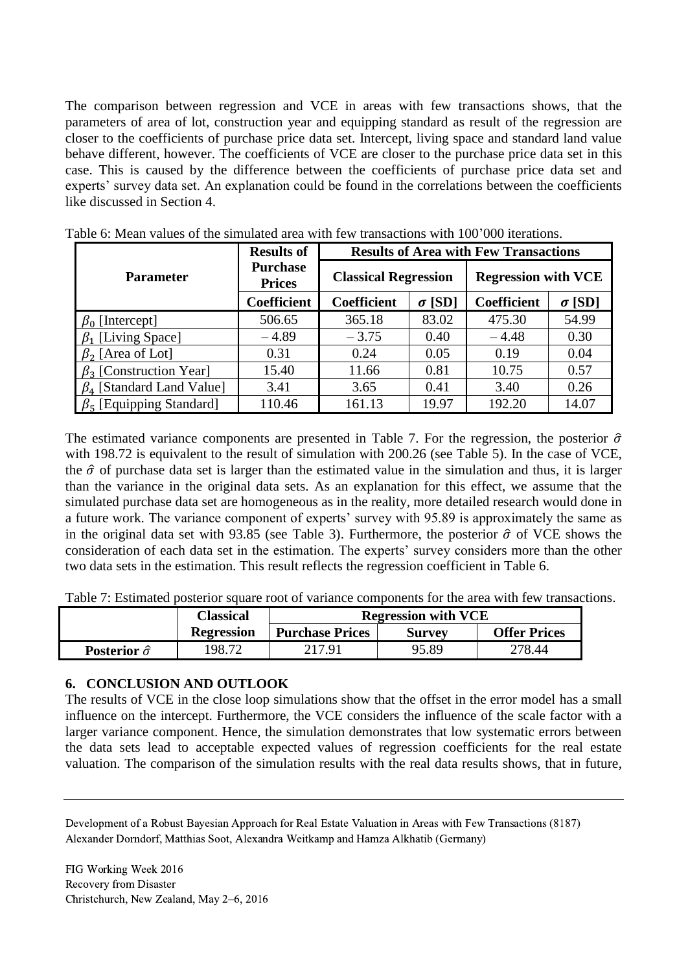The comparison between regression and VCE in areas with few transactions shows, that the parameters of area of lot, construction year and equipping standard as result of the regression are closer to the coefficients of purchase price data set. Intercept, living space and standard land value behave different, however. The coefficients of VCE are closer to the purchase price data set in this case. This is caused by the difference between the coefficients of purchase price data set and experts' survey data set. An explanation could be found in the correlations between the coefficients like discussed in Section 4.

|                                           | <b>Results of</b>                |                             |               | <b>Results of Area with Few Transactions</b> |               |
|-------------------------------------------|----------------------------------|-----------------------------|---------------|----------------------------------------------|---------------|
| <b>Parameter</b>                          | <b>Purchase</b><br><b>Prices</b> | <b>Classical Regression</b> |               | <b>Regression with VCE</b>                   |               |
|                                           | Coefficient                      | <b>Coefficient</b>          | $\sigma$ [SD] | <b>Coefficient</b>                           | $\sigma$ [SD] |
| $\beta_0$ [Intercept]                     | 506.65                           | 365.18                      | 83.02         | 475.30                                       | 54.99         |
| $\beta_1$ [Living Space]                  | $-4.89$                          | $-3.75$                     | 0.40          | $-4.48$                                      | 0.30          |
| $\beta_2$ [Area of Lot]                   | 0.31                             | 0.24                        | 0.05          | 0.19                                         | 0.04          |
| $\beta_3$ [Construction Year]             | 15.40                            | 11.66                       | 0.81          | 10.75                                        | 0.57          |
| $\beta_4$ [Standard Land Value]           | 3.41                             | 3.65                        | 0.41          | 3.40                                         | 0.26          |
| $\beta$ <sub>5</sub> [Equipping Standard] | 110.46                           | 161.13                      | 19.97         | 192.20                                       | 14.07         |

<span id="page-11-1"></span>Table 6: Mean values of the simulated area with few transactions with 100'000 iterations.

The estimated variance components are presented in [Table 7.](#page-11-2) For the regression, the posterior  $\hat{\sigma}$ with 198.72 is equivalent to the result of simulation with 200.26 (see [Table 5\)](#page-10-1). In the case of VCE, the  $\hat{\sigma}$  of purchase data set is larger than the estimated value in the simulation and thus, it is larger than the variance in the original data sets. As an explanation for this effect, we assume that the simulated purchase data set are homogeneous as in the reality, more detailed research would done in a future work. The variance component of experts' survey with 95.89 is approximately the same as in the original data set with 93.85 (see [Table 3\)](#page-8-2). Furthermore, the posterior  $\hat{\sigma}$  of VCE shows the consideration of each data set in the estimation. The experts' survey considers more than the other two data sets in the estimation. This result reflects the regression coefficient in [Table 6.](#page-11-1)

<span id="page-11-2"></span>Table 7: Estimated posterior square root of variance components for the area with few transactions.

|                          | Classical         |                        | <b>Regression with VCE</b> |                     |
|--------------------------|-------------------|------------------------|----------------------------|---------------------|
|                          | <b>Regression</b> | <b>Purchase Prices</b> | <b>Survey</b>              | <b>Offer Prices</b> |
| Posterior $\hat{\sigma}$ | 198.72            | 217.91                 | 95.89                      | 278.44              |

### <span id="page-11-0"></span>**6. CONCLUSION AND OUTLOOK**

The results of VCE in the close loop simulations show that the offset in the error model has a small influence on the intercept. Furthermore, the VCE considers the influence of the scale factor with a larger variance component. Hence, the simulation demonstrates that low systematic errors between the data sets lead to acceptable expected values of regression coefficients for the real estate valuation. The comparison of the simulation results with the real data results shows, that in future,

Development of a Robust Bayesian Approach for Real Estate Valuation in Areas with Few Transactions (8187) Alexander Dorndorf, Matthias Soot, Alexandra Weitkamp and Hamza Alkhatib (Germany)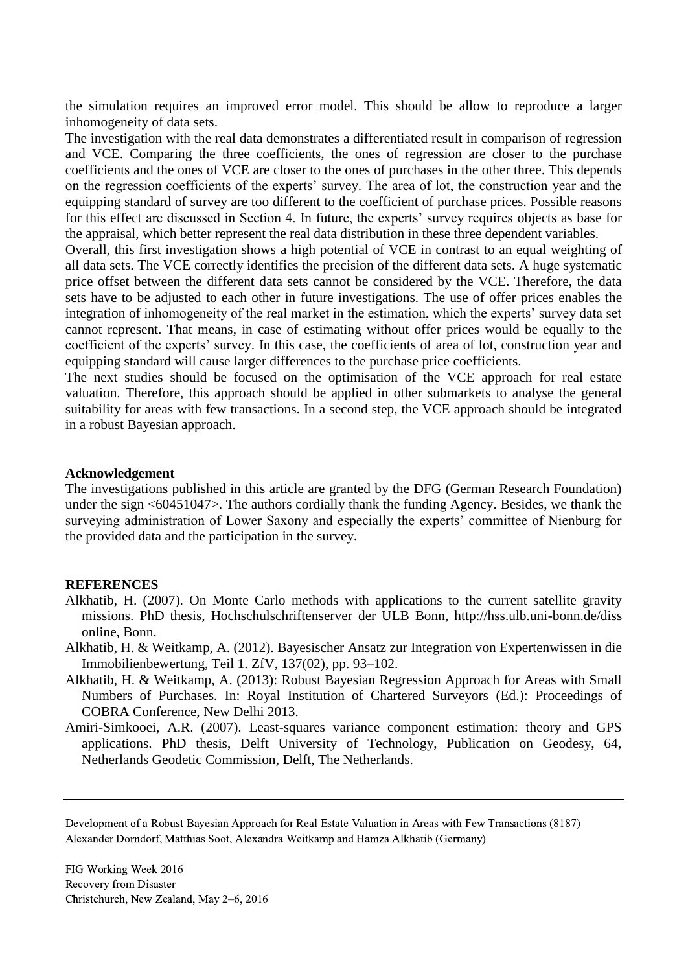the simulation requires an improved error model. This should be allow to reproduce a larger inhomogeneity of data sets.

The investigation with the real data demonstrates a differentiated result in comparison of regression and VCE. Comparing the three coefficients, the ones of regression are closer to the purchase coefficients and the ones of VCE are closer to the ones of purchases in the other three. This depends on the regression coefficients of the experts' survey. The area of lot, the construction year and the equipping standard of survey are too different to the coefficient of purchase prices. Possible reasons for this effect are discussed in Section 4. In future, the experts' survey requires objects as base for the appraisal, which better represent the real data distribution in these three dependent variables.

Overall, this first investigation shows a high potential of VCE in contrast to an equal weighting of all data sets. The VCE correctly identifies the precision of the different data sets. A huge systematic price offset between the different data sets cannot be considered by the VCE. Therefore, the data sets have to be adjusted to each other in future investigations. The use of offer prices enables the integration of inhomogeneity of the real market in the estimation, which the experts' survey data set cannot represent. That means, in case of estimating without offer prices would be equally to the coefficient of the experts' survey. In this case, the coefficients of area of lot, construction year and equipping standard will cause larger differences to the purchase price coefficients.

The next studies should be focused on the optimisation of the VCE approach for real estate valuation. Therefore, this approach should be applied in other submarkets to analyse the general suitability for areas with few transactions. In a second step, the VCE approach should be integrated in a robust Bayesian approach.

### **Acknowledgement**

The investigations published in this article are granted by the DFG (German Research Foundation) under the sign <60451047>. The authors cordially thank the funding Agency. Besides, we thank the surveying administration of Lower Saxony and especially the experts' committee of Nienburg for the provided data and the participation in the survey.

#### **REFERENCES**

- Alkhatib, H. (2007). On Monte Carlo methods with applications to the current satellite gravity missions. PhD thesis, Hochschulschriftenserver der ULB Bonn, http://hss.ulb.uni-bonn.de/diss online, Bonn.
- Alkhatib, H. & Weitkamp, A. (2012). Bayesischer Ansatz zur Integration von Expertenwissen in die Immobilienbewertung, Teil 1. ZfV, 137(02), pp. 93–102.
- Alkhatib, H. & Weitkamp, A. (2013): Robust Bayesian Regression Approach for Areas with Small Numbers of Purchases. In: Royal Institution of Chartered Surveyors (Ed.): Proceedings of COBRA Conference, New Delhi 2013.
- Amiri-Simkooei, A.R. (2007). Least-squares variance component estimation: theory and GPS applications. PhD thesis, Delft University of Technology, Publication on Geodesy, 64, Netherlands Geodetic Commission, Delft, The Netherlands.

Development of a Robust Bayesian Approach for Real Estate Valuation in Areas with Few Transactions (8187) Alexander Dorndorf, Matthias Soot, Alexandra Weitkamp and Hamza Alkhatib (Germany)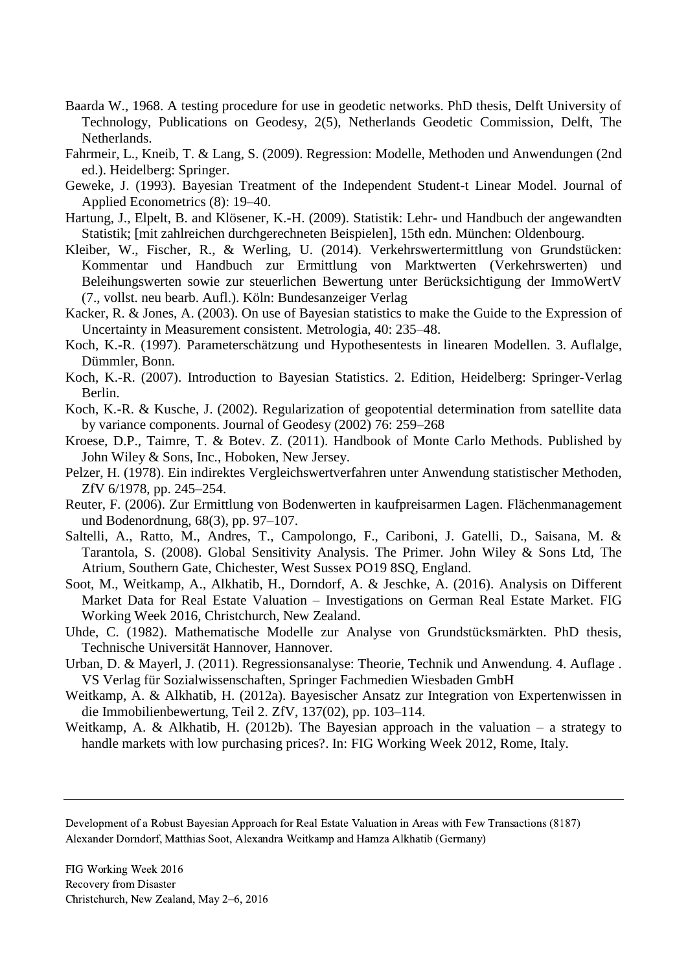- Baarda W., 1968. A testing procedure for use in geodetic networks. PhD thesis, Delft University of Technology, Publications on Geodesy, 2(5), Netherlands Geodetic Commission, Delft, The Netherlands.
- Fahrmeir, L., Kneib, T. & Lang, S. (2009). Regression: Modelle, Methoden und Anwendungen (2nd ed.). Heidelberg: Springer.
- Geweke, J. (1993). Bayesian Treatment of the Independent Student-t Linear Model. Journal of Applied Econometrics (8): 19–40.
- Hartung, J., Elpelt, B. and Klösener, K.-H. (2009). Statistik: Lehr- und Handbuch der angewandten Statistik; [mit zahlreichen durchgerechneten Beispielen], 15th edn. München: Oldenbourg.
- Kleiber, W., Fischer, R., & Werling, U. (2014). Verkehrswertermittlung von Grundstücken: Kommentar und Handbuch zur Ermittlung von Marktwerten (Verkehrswerten) und Beleihungswerten sowie zur steuerlichen Bewertung unter Berücksichtigung der ImmoWertV (7., vollst. neu bearb. Aufl.). Köln: Bundesanzeiger Verlag
- Kacker, R. & Jones, A. (2003). On use of Bayesian statistics to make the Guide to the Expression of Uncertainty in Measurement consistent. Metrologia, 40: 235–48.
- Koch, K.-R. (1997). Parameterschätzung und Hypothesentests in linearen Modellen. 3. Auflalge, Dümmler, Bonn.
- Koch, K.-R. (2007). Introduction to Bayesian Statistics. 2. Edition, Heidelberg: Springer-Verlag Berlin.
- Koch, K.-R. & Kusche, J. (2002). Regularization of geopotential determination from satellite data by variance components. Journal of Geodesy (2002) 76: 259–268
- Kroese, D.P., Taimre, T. & Botev. Z. (2011). Handbook of Monte Carlo Methods. Published by John Wiley & Sons, Inc., Hoboken, New Jersey.
- Pelzer, H. (1978). Ein indirektes Vergleichswertverfahren unter Anwendung statistischer Methoden, ZfV 6/1978, pp. 245–254.
- Reuter, F. (2006). Zur Ermittlung von Bodenwerten in kaufpreisarmen Lagen. Flächenmanagement und Bodenordnung, 68(3), pp. 97–107.
- Saltelli, A., Ratto, M., Andres, T., Campolongo, F., Cariboni, J. Gatelli, D., Saisana, M. & Tarantola, S. (2008). Global Sensitivity Analysis. The Primer. John Wiley & Sons Ltd, The Atrium, Southern Gate, Chichester, West Sussex PO19 8SQ, England.
- Soot, M., Weitkamp, A., Alkhatib, H., Dorndorf, A. & Jeschke, A. (2016). Analysis on Different Market Data for Real Estate Valuation – Investigations on German Real Estate Market. FIG Working Week 2016, Christchurch, New Zealand.
- Uhde, C. (1982). Mathematische Modelle zur Analyse von Grundstücksmärkten. PhD thesis, Technische Universität Hannover, Hannover.
- Urban, D. & Mayerl, J. (2011). Regressionsanalyse: Theorie, Technik und Anwendung. 4. Auflage . VS Verlag für Sozialwissenschaften, Springer Fachmedien Wiesbaden GmbH
- Weitkamp, A. & Alkhatib, H. (2012a). Bayesischer Ansatz zur Integration von Expertenwissen in die Immobilienbewertung, Teil 2. ZfV, 137(02), pp. 103–114.
- Weitkamp, A. & Alkhatib, H. (2012b). The Bayesian approach in the valuation a strategy to handle markets with low purchasing prices?. In: FIG Working Week 2012, Rome, Italy.

Development of a Robust Bayesian Approach for Real Estate Valuation in Areas with Few Transactions (8187) Alexander Dorndorf, Matthias Soot, Alexandra Weitkamp and Hamza Alkhatib (Germany)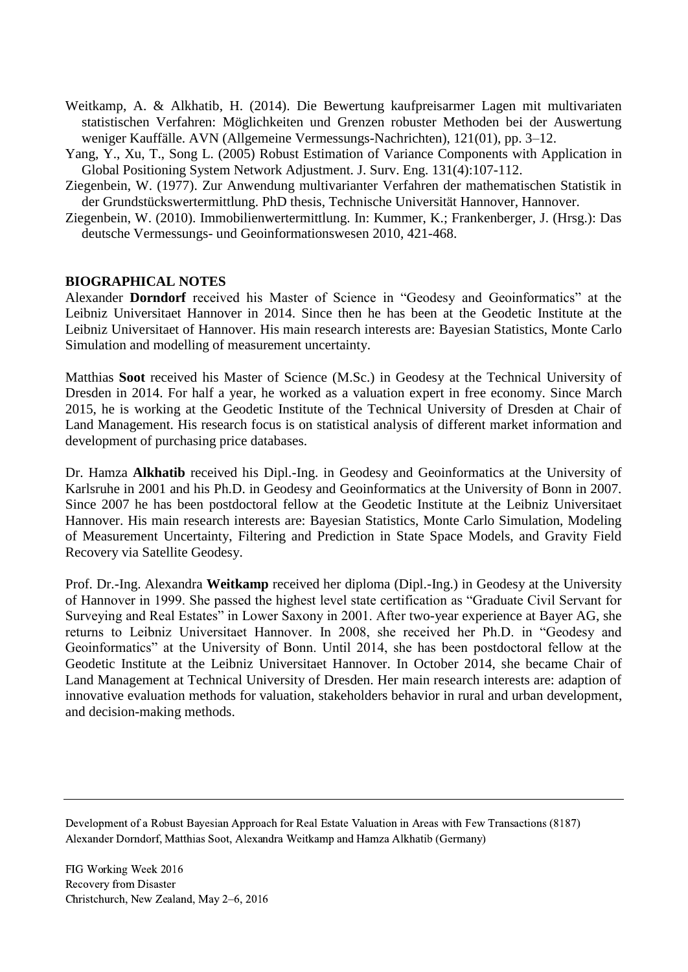- Weitkamp, A. & Alkhatib, H. (2014). Die Bewertung kaufpreisarmer Lagen mit multivariaten statistischen Verfahren: Möglichkeiten und Grenzen robuster Methoden bei der Auswertung weniger Kauffälle. AVN (Allgemeine Vermessungs-Nachrichten), 121(01), pp. 3–12.
- Yang, Y., Xu, T., Song L. (2005) Robust Estimation of Variance Components with Application in Global Positioning System Network Adjustment. J. Surv. Eng. 131(4):107-112.
- Ziegenbein, W. (1977). Zur Anwendung multivarianter Verfahren der mathematischen Statistik in der Grundstückswertermittlung. PhD thesis, Technische Universität Hannover, Hannover.
- Ziegenbein, W. (2010). Immobilienwertermittlung. In: Kummer, K.; Frankenberger, J. (Hrsg.): Das deutsche Vermessungs- und Geoinformationswesen 2010, 421-468.

### **BIOGRAPHICAL NOTES**

Alexander **Dorndorf** received his Master of Science in "Geodesy and Geoinformatics" at the Leibniz Universitaet Hannover in 2014. Since then he has been at the Geodetic Institute at the Leibniz Universitaet of Hannover. His main research interests are: Bayesian Statistics, Monte Carlo Simulation and modelling of measurement uncertainty.

Matthias **Soot** received his Master of Science (M.Sc.) in Geodesy at the Technical University of Dresden in 2014. For half a year, he worked as a valuation expert in free economy. Since March 2015, he is working at the Geodetic Institute of the Technical University of Dresden at Chair of Land Management. His research focus is on statistical analysis of different market information and development of purchasing price databases.

Dr. Hamza **Alkhatib** received his Dipl.-Ing. in Geodesy and Geoinformatics at the University of Karlsruhe in 2001 and his Ph.D. in Geodesy and Geoinformatics at the University of Bonn in 2007. Since 2007 he has been postdoctoral fellow at the Geodetic Institute at the Leibniz Universitaet Hannover. His main research interests are: Bayesian Statistics, Monte Carlo Simulation, Modeling of Measurement Uncertainty, Filtering and Prediction in State Space Models, and Gravity Field Recovery via Satellite Geodesy.

Prof. Dr.-Ing. Alexandra **Weitkamp** received her diploma (Dipl.-Ing.) in Geodesy at the University of Hannover in 1999. She passed the highest level state certification as "Graduate Civil Servant for Surveying and Real Estates" in Lower Saxony in 2001. After two-year experience at Bayer AG, she returns to Leibniz Universitaet Hannover. In 2008, she received her Ph.D. in "Geodesy and Geoinformatics" at the University of Bonn. Until 2014, she has been postdoctoral fellow at the Geodetic Institute at the Leibniz Universitaet Hannover. In October 2014, she became Chair of Land Management at Technical University of Dresden. Her main research interests are: adaption of innovative evaluation methods for valuation, stakeholders behavior in rural and urban development, and decision-making methods.

Development of a Robust Bayesian Approach for Real Estate Valuation in Areas with Few Transactions (8187) Alexander Dorndorf, Matthias Soot, Alexandra Weitkamp and Hamza Alkhatib (Germany)